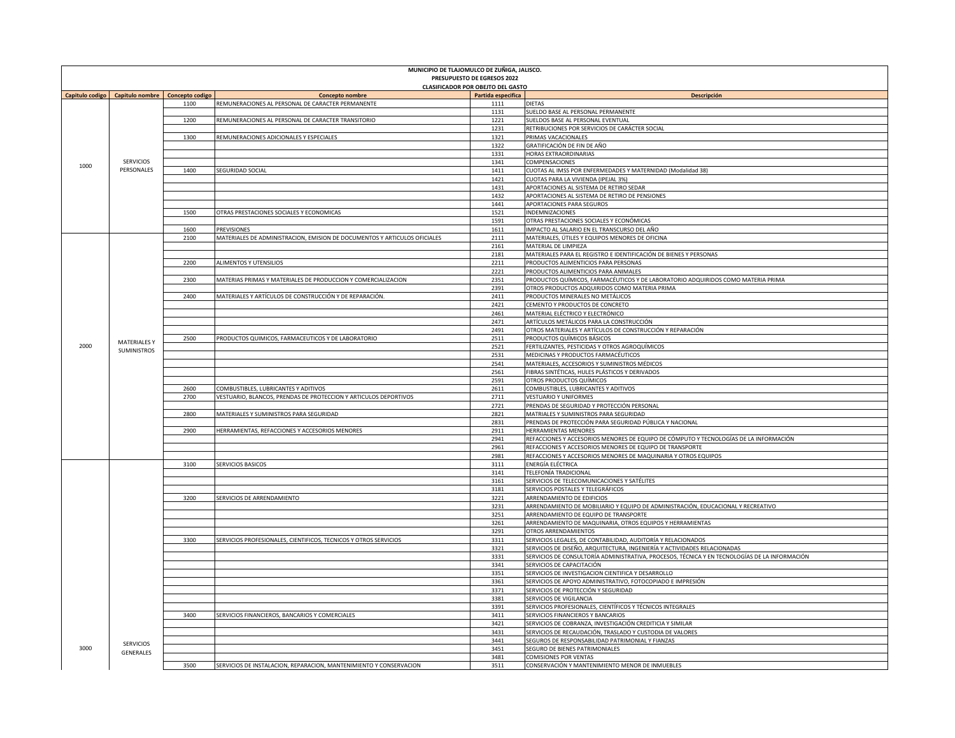| MUNICIPIO DE TLAJOMULCO DE ZUÑIGA, JALISCO.<br>PRESUPUESTO DE EGRESOS 2022 |                                |                        |                                                                                          |                                          |                                                                                                                                          |  |  |  |
|----------------------------------------------------------------------------|--------------------------------|------------------------|------------------------------------------------------------------------------------------|------------------------------------------|------------------------------------------------------------------------------------------------------------------------------------------|--|--|--|
|                                                                            |                                |                        |                                                                                          | <b>CLASIFICADOR POR OBEJTO DEL GASTO</b> |                                                                                                                                          |  |  |  |
| Capitulo codigo                                                            | Capitulo nombre                | <b>Concepto codigo</b> | <b>Concepto nombre</b>                                                                   | Partida especifica                       | Descripción                                                                                                                              |  |  |  |
|                                                                            |                                | 1100                   | REMUNERACIONES AL PERSONAL DE CARACTER PERMANENTE                                        | 1111                                     | DIETAS                                                                                                                                   |  |  |  |
|                                                                            | <b>SERVICIOS</b><br>PERSONALES | 1200                   | REMUNERACIONES AL PERSONAL DE CARACTER TRANSITORIO                                       | 1131<br>1221                             | SUELDO BASE AL PERSONAL PERMANENTE<br>SUELDOS BASE AL PERSONAL EVENTUAL                                                                  |  |  |  |
|                                                                            |                                |                        |                                                                                          | 1231                                     | RETRIBUCIONES POR SERVICIOS DE CARÁCTER SOCIAL                                                                                           |  |  |  |
|                                                                            |                                | 1300                   | REMUNERACIONES ADICIONALES Y ESPECIALES                                                  | 1321                                     | PRIMAS VACACIONALES                                                                                                                      |  |  |  |
|                                                                            |                                |                        |                                                                                          | 1322                                     | GRATIFICACIÓN DE FIN DE AÑO                                                                                                              |  |  |  |
|                                                                            |                                |                        |                                                                                          | 1331                                     | HORAS EXTRAORDINARIAS                                                                                                                    |  |  |  |
| 1000                                                                       |                                | 1400                   | SEGURIDAD SOCIAL                                                                         | 1341                                     | COMPENSACIONES<br>CUOTAS AL IMSS POR ENFERMEDADES Y MATERNIDAD (Modalidad 38)                                                            |  |  |  |
|                                                                            |                                |                        |                                                                                          | 1411<br>1421                             | CUOTAS PARA LA VIVIENDA (IPEJAL 3%)                                                                                                      |  |  |  |
|                                                                            |                                |                        |                                                                                          | 1431                                     | APORTACIONES AL SISTEMA DE RETIRO SEDAR                                                                                                  |  |  |  |
|                                                                            |                                |                        |                                                                                          | 1432                                     | APORTACIONES AL SISTEMA DE RETIRO DE PENSIONES                                                                                           |  |  |  |
|                                                                            |                                |                        |                                                                                          | 1441                                     | APORTACIONES PARA SEGUROS                                                                                                                |  |  |  |
|                                                                            |                                | 1500                   | OTRAS PRESTACIONES SOCIALES Y ECONOMICAS                                                 | 1521                                     | <b>INDEMNIZACIONES</b>                                                                                                                   |  |  |  |
|                                                                            |                                |                        |                                                                                          | 1591                                     | OTRAS PRESTACIONES SOCIALES Y ECONÓMICAS                                                                                                 |  |  |  |
|                                                                            |                                | 1600<br>2100           | PREVISIONES<br>MATERIALES DE ADMINISTRACION, EMISION DE DOCUMENTOS Y ARTICULOS OFICIALES | 1611<br>2111                             | IMPACTO AL SALARIO EN EL TRANSCURSO DEL AÑO<br>MATERIALES, ÚTILES Y EQUIPOS MENORES DE OFICINA                                           |  |  |  |
|                                                                            |                                |                        |                                                                                          | 2161                                     | MATERIAL DE LIMPIEZA                                                                                                                     |  |  |  |
|                                                                            |                                |                        |                                                                                          | 2181                                     | MATERIALES PARA EL REGISTRO E IDENTIFICACIÓN DE BIENES Y PERSONAS                                                                        |  |  |  |
|                                                                            |                                | 2200                   | ALIMENTOS Y UTENSILIOS                                                                   | 2211                                     | PRODUCTOS ALIMENTICIOS PARA PERSONAS                                                                                                     |  |  |  |
|                                                                            |                                |                        |                                                                                          | 2221                                     | PRODUCTOS ALIMENTICIOS PARA ANIMALES                                                                                                     |  |  |  |
|                                                                            |                                | 2300                   | MATERIAS PRIMAS Y MATERIALES DE PRODUCCION Y COMERCIALIZACION                            | 2351                                     | PRODUCTOS QUÍMICOS, FARMACÉUTICOS Y DE LABORATORIO ADQUIRIDOS COMO MATERIA PRIMA                                                         |  |  |  |
|                                                                            |                                | 2400                   | MATERIALES Y ARTÍCULOS DE CONSTRUCCIÓN Y DE REPARACIÓN.                                  | 2391<br>2411                             | OTROS PRODUCTOS ADQUIRIDOS COMO MATERIA PRIMA<br>PRODUCTOS MINERALES NO METÁLICOS                                                        |  |  |  |
|                                                                            |                                |                        |                                                                                          | 2421                                     | CEMENTO Y PRODUCTOS DE CONCRETO                                                                                                          |  |  |  |
|                                                                            |                                |                        |                                                                                          | 2461                                     | MATERIAL ELÉCTRICO Y ELECTRÓNICO                                                                                                         |  |  |  |
|                                                                            |                                |                        |                                                                                          | 2471                                     | ARTÍCULOS METÁLICOS PARA LA CONSTRUCCIÓN                                                                                                 |  |  |  |
|                                                                            |                                |                        |                                                                                          | 2491                                     | OTROS MATERIALES Y ARTÍCULOS DE CONSTRUCCIÓN Y REPARACIÓN                                                                                |  |  |  |
|                                                                            | <b>MATERIALESY</b>             | 2500                   | PRODUCTOS QUIMICOS, FARMACEUTICOS Y DE LABORATORIO                                       | 2511                                     | PRODUCTOS QUÍMICOS BÁSICOS                                                                                                               |  |  |  |
| 2000                                                                       | <b>SUMINISTROS</b>             |                        |                                                                                          | 2521                                     | FERTILIZANTES, PESTICIDAS Y OTROS AGROQUÍMICOS                                                                                           |  |  |  |
|                                                                            |                                |                        |                                                                                          | 2531<br>2541                             | MEDICINAS Y PRODUCTOS FARMACÉUTICOS<br>MATERIALES, ACCESORIOS Y SUMINISTROS MÉDICOS                                                      |  |  |  |
|                                                                            |                                |                        |                                                                                          | 2561                                     | FIBRAS SINTÉTICAS, HULES PLÁSTICOS Y DERIVADOS                                                                                           |  |  |  |
|                                                                            |                                |                        |                                                                                          | 2591                                     | OTROS PRODUCTOS QUÍMICOS                                                                                                                 |  |  |  |
|                                                                            |                                | 2600                   | COMBUSTIBLES, LUBRICANTES Y ADITIVOS                                                     | 2611                                     | COMBUSTIBLES, LUBRICANTES Y ADITIVOS                                                                                                     |  |  |  |
|                                                                            |                                | 2700                   | VESTUARIO, BLANCOS, PRENDAS DE PROTECCION Y ARTICULOS DEPORTIVOS                         | 2711                                     | <b>VESTUARIO Y UNIFORMES</b>                                                                                                             |  |  |  |
|                                                                            |                                |                        |                                                                                          | 2721                                     | PRENDAS DE SEGURIDAD Y PROTECCIÓN PERSONAL                                                                                               |  |  |  |
|                                                                            |                                | 2800                   | MATERIALES Y SUMINISTROS PARA SEGURIDAD                                                  | 2821<br>2831                             | MATRIALES Y SUMINISTROS PARA SEGURIDAD<br>PRENDAS DE PROTECCIÓN PARA SEGURIDAD PÚBLICA Y NACIONAL                                        |  |  |  |
|                                                                            |                                | 2900                   | HERRAMIENTAS, REFACCIONES Y ACCESORIOS MENORES                                           | 2911                                     | <b>HERRAMIENTAS MENORES</b>                                                                                                              |  |  |  |
|                                                                            |                                |                        |                                                                                          | 2941                                     | REFACCIONES Y ACCESORIOS MENORES DE EQUIPO DE CÓMPUTO Y TECNOLOGÍAS DE LA INFORMACIÓN                                                    |  |  |  |
|                                                                            |                                |                        |                                                                                          | 2961                                     | REFACCIONES Y ACCESORIOS MENORES DE EQUIPO DE TRANSPORTE                                                                                 |  |  |  |
|                                                                            |                                |                        |                                                                                          | 2981                                     | REFACCIONES Y ACCESORIOS MENORES DE MAQUINARIA Y OTROS EQUIPOS                                                                           |  |  |  |
|                                                                            |                                | 3100                   | SERVICIOS BASICOS                                                                        | 3111                                     | ENERGÍA ELÉCTRICA                                                                                                                        |  |  |  |
|                                                                            |                                |                        |                                                                                          | 3141                                     | <b>TELEFONÍA TRADICIONAL</b><br>SERVICIOS DE TELECOMUNICACIONES Y SATÉLITES                                                              |  |  |  |
|                                                                            |                                |                        |                                                                                          | 3161<br>3181                             | SERVICIOS POSTALES Y TELEGRÁFICOS                                                                                                        |  |  |  |
|                                                                            |                                | 3200                   | SERVICIOS DE ARRENDAMIENTO                                                               | 3221                                     | ARRENDAMIENTO DE EDIFICIOS                                                                                                               |  |  |  |
|                                                                            |                                |                        |                                                                                          | 3231                                     | ARRENDAMIENTO DE MOBILIARIO Y EQUIPO DE ADMINISTRACIÓN, EDUCACIONAL Y RECREATIVO                                                         |  |  |  |
|                                                                            |                                |                        |                                                                                          | 3251                                     | ARRENDAMIENTO DE EQUIPO DE TRANSPORTE                                                                                                    |  |  |  |
|                                                                            |                                |                        |                                                                                          | 3261                                     | ARRENDAMIENTO DE MAQUINARIA, OTROS EQUIPOS Y HERRAMIENTAS                                                                                |  |  |  |
|                                                                            |                                |                        |                                                                                          | 3291                                     | OTROS ARRENDAMIENTOS                                                                                                                     |  |  |  |
|                                                                            |                                | 3300                   | SERVICIOS PROFESIONALES, CIENTIFICOS, TECNICOS Y OTROS SERVICIOS                         | 3311<br>3321                             | SERVICIOS LEGALES, DE CONTABILIDAD, AUDITORÍA Y RELACIONADOS<br>SERVICIOS DE DISEÑO, ARQUITECTURA, INGENIERÍA Y ACTIVIDADES RELACIONADAS |  |  |  |
|                                                                            |                                |                        |                                                                                          | 3331                                     | SERVICIOS DE CONSULTORÍA ADMINISTRATIVA, PROCESOS, TÉCNICA Y EN TECNOLOGÍAS DE LA INFORMACIÓN                                            |  |  |  |
|                                                                            |                                |                        |                                                                                          | 3341                                     | SERVICIOS DE CAPACITACIÓN                                                                                                                |  |  |  |
|                                                                            |                                |                        |                                                                                          | 3351                                     | SERVICIOS DE INVESTIGACION CIENTIFICA Y DESARROLLO                                                                                       |  |  |  |
|                                                                            |                                |                        |                                                                                          | 3361                                     | SERVICIOS DE APOYO ADMINISTRATIVO, FOTOCOPIADO E IMPRESIÓN                                                                               |  |  |  |
|                                                                            |                                |                        |                                                                                          | 3371                                     | SERVICIOS DE PROTECCIÓN Y SEGURIDAD                                                                                                      |  |  |  |
|                                                                            |                                |                        |                                                                                          | 3381<br>3391                             | SERVICIOS DE VIGILANCIA<br>SERVICIOS PROFESIONALES, CIENTÍFICOS Y TÉCNICOS INTEGRALES                                                    |  |  |  |
|                                                                            |                                | 3400                   | SERVICIOS FINANCIEROS, BANCARIOS Y COMERCIALES                                           | 3411                                     | SERVICIOS FINANCIEROS Y BANCARIOS                                                                                                        |  |  |  |
|                                                                            |                                |                        |                                                                                          | 3421                                     | SERVICIOS DE COBRANZA, INVESTIGACIÓN CREDITICIA Y SIMILAR                                                                                |  |  |  |
|                                                                            |                                |                        |                                                                                          | 3431                                     | SERVICIOS DE RECAUDACIÓN, TRASLADO Y CUSTODIA DE VALORES                                                                                 |  |  |  |
|                                                                            | SERVICIOS<br>GENERALES         |                        |                                                                                          | 3441                                     | SEGUROS DE RESPONSABILIDAD PATRIMONIAL Y FIANZAS                                                                                         |  |  |  |
| 3000                                                                       |                                |                        |                                                                                          | 3451                                     | SEGURO DE BIENES PATRIMONIALES                                                                                                           |  |  |  |
|                                                                            |                                | 3500                   | SERVICIOS DE INSTALACION, REPARACION, MANTENIMIENTO Y CONSERVACION                       | 3481<br>3511                             | <b>COMISIONES POR VENTAS</b><br>CONSERVACIÓN Y MANTENIMIENTO MENOR DE INMUEBLES                                                          |  |  |  |
|                                                                            |                                |                        |                                                                                          |                                          |                                                                                                                                          |  |  |  |